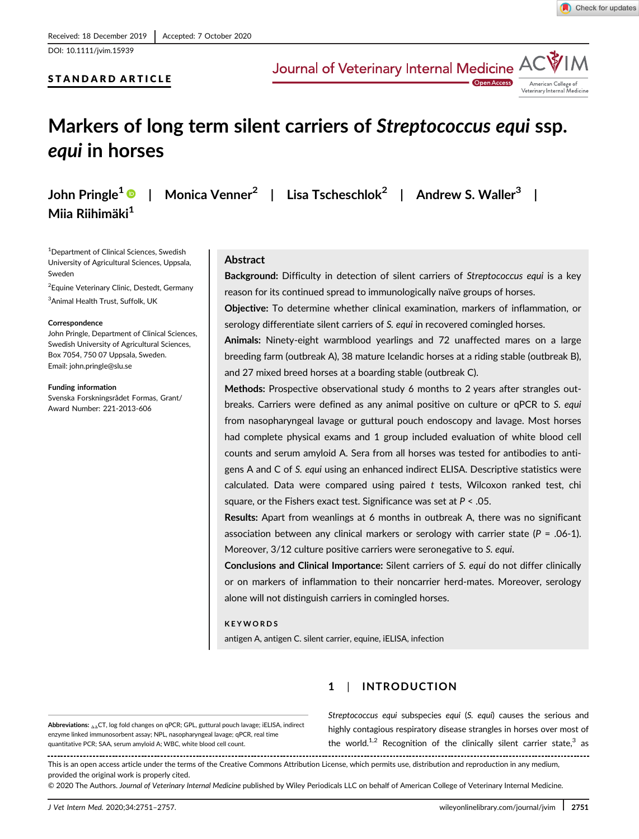DOI: 10.1111/jvim.15939

# STANDARD ARTICLE

Journal of Veterinary Internal Medicine A



# Markers of long term silent carriers of Streptococcus equi ssp. equi in horses

John Pringle<sup>1</sup>  $\bullet$  | Monica Venner<sup>2</sup> | Lisa Tscheschlok<sup>2</sup> | Andrew S. Waller<sup>3</sup> | Miia Riihimäki<sup>1</sup>

**Open Acces** 

1 Department of Clinical Sciences, Swedish University of Agricultural Sciences, Uppsala, Sweden

<sup>2</sup> Equine Veterinary Clinic, Destedt, Germany

3 Animal Health Trust, Suffolk, UK

#### **Correspondence**

John Pringle, Department of Clinical Sciences, Swedish University of Agricultural Sciences, Box 7054, 750 07 Uppsala, Sweden. Email: [john.pringle@slu.se](mailto:john.pringle@slu.se)

Funding information

Svenska Forskningsrådet Formas, Grant/ Award Number: 221-2013-606

# Abstract

Background: Difficulty in detection of silent carriers of Streptococcus equi is a key reason for its continued spread to immunologically naïve groups of horses.

Objective: To determine whether clinical examination, markers of inflammation, or serology differentiate silent carriers of S. equi in recovered comingled horses.

Animals: Ninety-eight warmblood yearlings and 72 unaffected mares on a large breeding farm (outbreak A), 38 mature Icelandic horses at a riding stable (outbreak B), and 27 mixed breed horses at a boarding stable (outbreak C).

Methods: Prospective observational study 6 months to 2 years after strangles outbreaks. Carriers were defined as any animal positive on culture or qPCR to S. equi from nasopharyngeal lavage or guttural pouch endoscopy and lavage. Most horses had complete physical exams and 1 group included evaluation of white blood cell counts and serum amyloid A. Sera from all horses was tested for antibodies to antigens A and C of S. equi using an enhanced indirect ELISA. Descriptive statistics were calculated. Data were compared using paired t tests, Wilcoxon ranked test, chi square, or the Fishers exact test. Significance was set at P < .05.

Results: Apart from weanlings at 6 months in outbreak A, there was no significant association between any clinical markers or serology with carrier state ( $P = .06-1$ ). Moreover, 3/12 culture positive carriers were seronegative to S. equi.

Conclusions and Clinical Importance: Silent carriers of S. equi do not differ clinically or on markers of inflammation to their noncarrier herd-mates. Moreover, serology alone will not distinguish carriers in comingled horses.

# **KEYWORDS**

antigen A, antigen C. silent carrier, equine, iELISA, infection

# 1 | INTRODUCTION

Abbreviations: ΔΔCT, log fold changes on qPCR; GPL, guttural pouch lavage; iELISA, indirect enzyme linked immunosorbent assay; NPL, nasopharyngeal lavage; qPCR, real time quantitative PCR; SAA, serum amyloid A; WBC, white blood cell count.

Streptococcus equi subspecies equi (S. equi) causes the serious and highly contagious respiratory disease strangles in horses over most of the world.<sup>1,2</sup> Recognition of the clinically silent carrier state, $3$  as

This is an open access article under the terms of the [Creative Commons Attribution](http://creativecommons.org/licenses/by/4.0/) License, which permits use, distribution and reproduction in any medium, provided the original work is properly cited.

© 2020 The Authors. Journal of Veterinary Internal Medicine published by Wiley Periodicals LLC on behalf of American College of Veterinary Internal Medicine.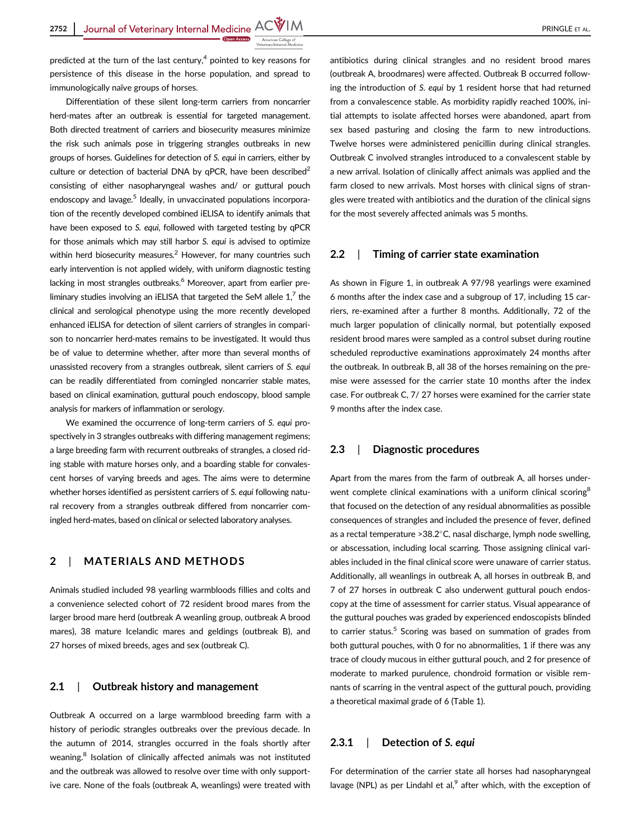predicted at the turn of the last century, $4$  pointed to key reasons for persistence of this disease in the horse population, and spread to immunologically naïve groups of horses.

Differentiation of these silent long-term carriers from noncarrier herd-mates after an outbreak is essential for targeted management. Both directed treatment of carriers and biosecurity measures minimize the risk such animals pose in triggering strangles outbreaks in new groups of horses. Guidelines for detection of S. equi in carriers, either by culture or detection of bacterial DNA by qPCR, have been described $2$ consisting of either nasopharyngeal washes and/ or guttural pouch endoscopy and lavage.<sup>5</sup> Ideally, in unvaccinated populations incorporation of the recently developed combined iELISA to identify animals that have been exposed to S. equi, followed with targeted testing by qPCR for those animals which may still harbor S. equi is advised to optimize within herd biosecurity measures.<sup>2</sup> However, for many countries such early intervention is not applied widely, with uniform diagnostic testing lacking in most strangles outbreaks.<sup>6</sup> Moreover, apart from earlier preliminary studies involving an iELISA that targeted the SeM allele  $1<sup>7</sup>$  the clinical and serological phenotype using the more recently developed enhanced iELISA for detection of silent carriers of strangles in comparison to noncarrier herd-mates remains to be investigated. It would thus be of value to determine whether, after more than several months of unassisted recovery from a strangles outbreak, silent carriers of S. equi can be readily differentiated from comingled noncarrier stable mates, based on clinical examination, guttural pouch endoscopy, blood sample analysis for markers of inflammation or serology.

We examined the occurrence of long-term carriers of S. equi prospectively in 3 strangles outbreaks with differing management regimens; a large breeding farm with recurrent outbreaks of strangles, a closed riding stable with mature horses only, and a boarding stable for convalescent horses of varying breeds and ages. The aims were to determine whether horses identified as persistent carriers of S. equi following natural recovery from a strangles outbreak differed from noncarrier comingled herd-mates, based on clinical or selected laboratory analyses.

# 2 | MATERIALS AND METHODS

Animals studied included 98 yearling warmbloods fillies and colts and a convenience selected cohort of 72 resident brood mares from the larger brood mare herd (outbreak A weanling group, outbreak A brood mares), 38 mature Icelandic mares and geldings (outbreak B), and 27 horses of mixed breeds, ages and sex (outbreak C).

## 2.1 | Outbreak history and management

Outbreak A occurred on a large warmblood breeding farm with a history of periodic strangles outbreaks over the previous decade. In the autumn of 2014, strangles occurred in the foals shortly after weaning.<sup>8</sup> Isolation of clinically affected animals was not instituted and the outbreak was allowed to resolve over time with only supportive care. None of the foals (outbreak A, weanlings) were treated with

antibiotics during clinical strangles and no resident brood mares

(outbreak A, broodmares) were affected. Outbreak B occurred following the introduction of S. equi by 1 resident horse that had returned from a convalescence stable. As morbidity rapidly reached 100%, initial attempts to isolate affected horses were abandoned, apart from sex based pasturing and closing the farm to new introductions. Twelve horses were administered penicillin during clinical strangles. Outbreak C involved strangles introduced to a convalescent stable by a new arrival. Isolation of clinically affect animals was applied and the farm closed to new arrivals. Most horses with clinical signs of strangles were treated with antibiotics and the duration of the clinical signs for the most severely affected animals was 5 months.

#### 2.2 | Timing of carrier state examination

As shown in Figure 1, in outbreak A 97/98 yearlings were examined 6 months after the index case and a subgroup of 17, including 15 carriers, re-examined after a further 8 months. Additionally, 72 of the much larger population of clinically normal, but potentially exposed resident brood mares were sampled as a control subset during routine scheduled reproductive examinations approximately 24 months after the outbreak. In outbreak B, all 38 of the horses remaining on the premise were assessed for the carrier state 10 months after the index case. For outbreak C, 7/ 27 horses were examined for the carrier state 9 months after the index case.

#### 2.3 | Diagnostic procedures

Apart from the mares from the farm of outbreak A, all horses underwent complete clinical examinations with a uniform clinical scoring<sup>8</sup> that focused on the detection of any residual abnormalities as possible consequences of strangles and included the presence of fever, defined as a rectal temperature  $>38.2^{\circ}$ C, nasal discharge, lymph node swelling, or abscessation, including local scarring. Those assigning clinical variables included in the final clinical score were unaware of carrier status. Additionally, all weanlings in outbreak A, all horses in outbreak B, and 7 of 27 horses in outbreak C also underwent guttural pouch endoscopy at the time of assessment for carrier status. Visual appearance of the guttural pouches was graded by experienced endoscopists blinded to carrier status.<sup>5</sup> Scoring was based on summation of grades from both guttural pouches, with 0 for no abnormalities, 1 if there was any trace of cloudy mucous in either guttural pouch, and 2 for presence of moderate to marked purulence, chondroid formation or visible remnants of scarring in the ventral aspect of the guttural pouch, providing a theoretical maximal grade of 6 (Table 1).

### 2.3.1 | Detection of S. equi

For determination of the carrier state all horses had nasopharyngeal lavage (NPL) as per Lindahl et al, $<sup>9</sup>$  after which, with the exception of</sup>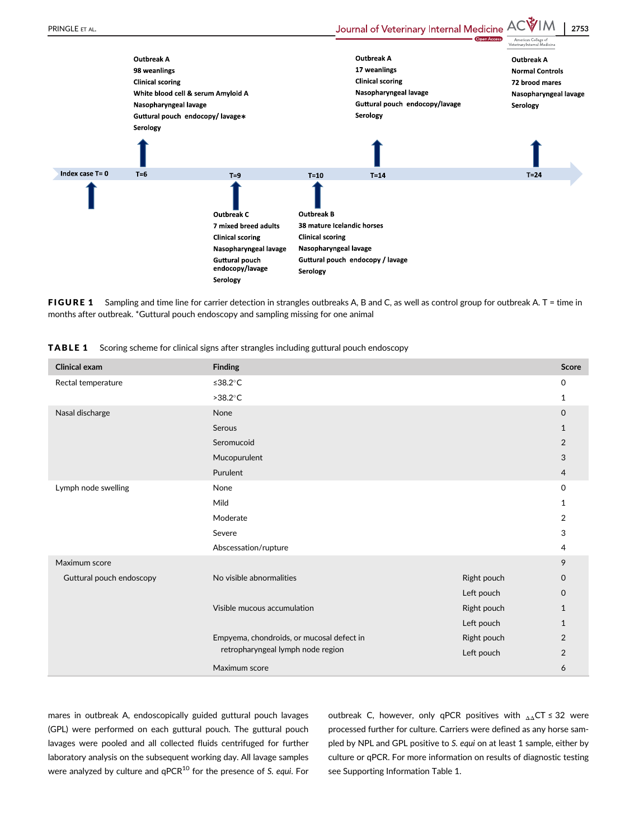

FIGURE 1 Sampling and time line for carrier detection in strangles outbreaks A, B and C, as well as control group for outbreak A, T = time in months after outbreak. \*Guttural pouch endoscopy and sampling missing for one animal

|  | <b>TABLE 1</b> Scoring scheme for clinical signs after strangles including guttural pouch endoscopy |  |  |  |  |  |
|--|-----------------------------------------------------------------------------------------------------|--|--|--|--|--|
|--|-----------------------------------------------------------------------------------------------------|--|--|--|--|--|

| <b>Clinical exam</b>     | <b>Finding</b>                            |             | Score          |  |  |
|--------------------------|-------------------------------------------|-------------|----------------|--|--|
| Rectal temperature       | ≤38.2 $°C$                                |             |                |  |  |
|                          | $>38.2^{\circ}$ C                         |             |                |  |  |
| Nasal discharge          | None                                      |             | 0              |  |  |
|                          | Serous                                    |             |                |  |  |
|                          | Seromucoid                                |             | $\overline{2}$ |  |  |
|                          | Mucopurulent                              |             | 3              |  |  |
|                          | Purulent                                  |             |                |  |  |
| Lymph node swelling      | None                                      |             |                |  |  |
|                          | Mild                                      |             |                |  |  |
|                          | Moderate                                  |             |                |  |  |
|                          | Severe                                    |             |                |  |  |
|                          | Abscessation/rupture                      |             |                |  |  |
| Maximum score            |                                           |             | 9              |  |  |
| Guttural pouch endoscopy | No visible abnormalities                  | Right pouch | $\Omega$       |  |  |
|                          |                                           | Left pouch  | $\Omega$       |  |  |
|                          | Visible mucous accumulation               | Right pouch | $\mathbf{1}$   |  |  |
|                          |                                           | Left pouch  | $\mathbf{1}$   |  |  |
|                          | Empyema, chondroids, or mucosal defect in | Right pouch | $\overline{2}$ |  |  |
|                          | retropharyngeal lymph node region         | Left pouch  | 2              |  |  |
|                          | Maximum score                             |             | 6              |  |  |

mares in outbreak A, endoscopically guided guttural pouch lavages (GPL) were performed on each guttural pouch. The guttural pouch lavages were pooled and all collected fluids centrifuged for further laboratory analysis on the subsequent working day. All lavage samples were analyzed by culture and  $qPCR^{10}$  for the presence of S. equi. For outbreak C, however, only qPCR positives with  $_{\Delta\Delta}$ CT  $\leq$  32 were processed further for culture. Carriers were defined as any horse sampled by NPL and GPL positive to S. equi on at least 1 sample, either by culture or qPCR. For more information on results of diagnostic testing see Supporting Information Table 1.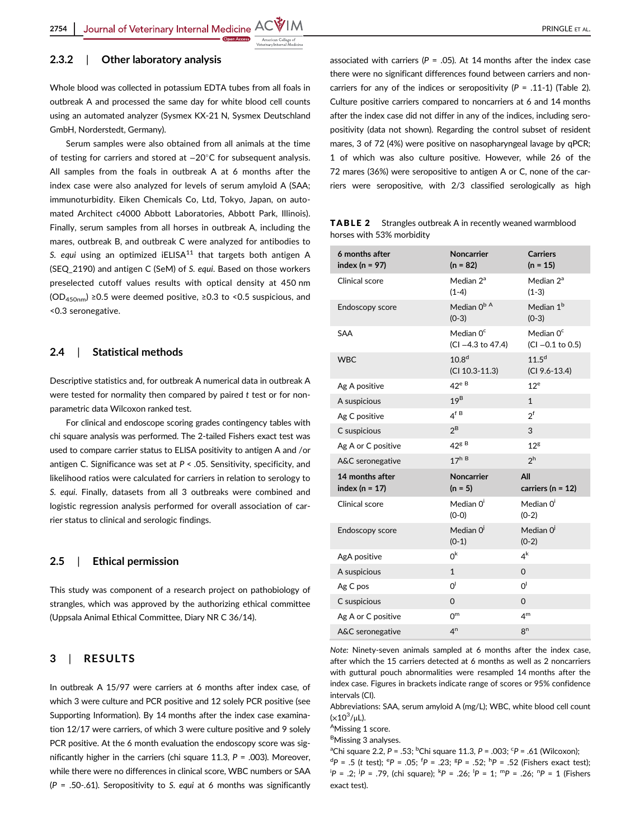#### 2.3.2 | Other laboratory analysis

Whole blood was collected in potassium EDTA tubes from all foals in outbreak A and processed the same day for white blood cell counts using an automated analyzer (Sysmex KX-21 N, Sysmex Deutschland GmbH, Norderstedt, Germany).

Serum samples were also obtained from all animals at the time of testing for carriers and stored at −20°C for subsequent analysis. All samples from the foals in outbreak A at 6 months after the index case were also analyzed for levels of serum amyloid A (SAA; immunoturbidity. Eiken Chemicals Co, Ltd, Tokyo, Japan, on automated Architect c4000 Abbott Laboratories, Abbott Park, Illinois). Finally, serum samples from all horses in outbreak A, including the mares, outbreak B, and outbreak C were analyzed for antibodies to S. equi using an optimized  $iELISA<sup>11</sup>$  that targets both antigen A (SEQ\_2190) and antigen C (SeM) of S. equi. Based on those workers preselected cutoff values results with optical density at 450 nm (OD<sub>450nm</sub>) ≥0.5 were deemed positive, ≥0.3 to <0.5 suspicious, and <0.3 seronegative.

### 2.4 | Statistical methods

Descriptive statistics and, for outbreak A numerical data in outbreak A were tested for normality then compared by paired t test or for nonparametric data Wilcoxon ranked test.

For clinical and endoscope scoring grades contingency tables with chi square analysis was performed. The 2-tailed Fishers exact test was used to compare carrier status to ELISA positivity to antigen A and /or antigen C. Significance was set at  $P < .05$ . Sensitivity, specificity, and likelihood ratios were calculated for carriers in relation to serology to S. equi. Finally, datasets from all 3 outbreaks were combined and logistic regression analysis performed for overall association of carrier status to clinical and serologic findings.

## 2.5 | Ethical permission

This study was component of a research project on pathobiology of strangles, which was approved by the authorizing ethical committee (Uppsala Animal Ethical Committee, Diary NR C 36/14).

#### 3 | RESULTS

In outbreak A 15/97 were carriers at 6 months after index case, of which 3 were culture and PCR positive and 12 solely PCR positive (see Supporting Information). By 14 months after the index case examination 12/17 were carriers, of which 3 were culture positive and 9 solely PCR positive. At the 6 month evaluation the endoscopy score was significantly higher in the carriers (chi square 11.3,  $P = .003$ ). Moreover, while there were no differences in clinical score, WBC numbers or SAA ( $P = .50-.61$ ). Seropositivity to S. equi at 6 months was significantly associated with carriers ( $P = .05$ ). At 14 months after the index case there were no significant differences found between carriers and noncarriers for any of the indices or seropositivity  $(P = .11-1)$  (Table 2). Culture positive carriers compared to noncarriers at 6 and 14 months after the index case did not differ in any of the indices, including seropositivity (data not shown). Regarding the control subset of resident mares, 3 of 72 (4%) were positive on nasopharyngeal lavage by qPCR; 1 of which was also culture positive. However, while 26 of the 72 mares (36%) were seropositive to antigen A or C, none of the carriers were seropositive, with 2/3 classified serologically as high

TABLE 2 Strangles outbreak A in recently weaned warmblood horses with 53% morbidity

| 6 months after<br>index ( $n = 97$ )  | Noncarrier<br>$(n = 82)$               | <b>Carriers</b><br>$(n = 15)$       |
|---------------------------------------|----------------------------------------|-------------------------------------|
| Clinical score                        | Median $2^a$<br>$(1-4)$                | Median $2^a$<br>$(1-3)$             |
| Endoscopy score                       | Median 0 <sup>b A</sup><br>$(0-3)$     | Median 1 <sup>b</sup><br>$(0-3)$    |
| SAA                                   | Median $0^{\circ}$<br>(CI-4.3 to 47.4) | Median $0c$<br>$(Cl -0.1$ to $0.5)$ |
| <b>WBC</b>                            | 10.8 <sup>d</sup><br>$(Cl 10.3-11.3)$  | $11.5^d$<br>$(CI 9.6-13.4)$         |
| Ag A positive                         | $42^e$ B                               | $12^e$                              |
| A suspicious                          | 19 <sup>B</sup>                        | $\mathbf{1}$                        |
| Ag C positive                         | 4 <sup>f B</sup>                       | $2^f$                               |
| C suspicious                          | $2^B$                                  | 3                                   |
| Ag A or C positive                    | $42^{\rm g}$ <sup>B</sup>              | 12 <sup>g</sup>                     |
| A&C seronegative                      | 17 <sup>h B</sup>                      | 2 <sup>h</sup>                      |
| 14 months after<br>index ( $n = 17$ ) | <b>Noncarrier</b><br>$(n = 5)$         | All<br>carriers ( $n = 12$ )        |
| Clinical score                        | Median O <sup>i</sup><br>$(0-0)$       | Median O <sup>i</sup><br>$(0-2)$    |
| Endoscopy score                       | Median $0^j$<br>$(0-1)$                | Median O <sup>j</sup><br>$(0-2)$    |
| AgA positive                          | 0 <sup>k</sup>                         | $4^k$                               |
| A suspicious                          | $\mathbf{1}$                           | $\Omega$                            |
| Ag C pos                              | O <sup>1</sup>                         | O <sup>1</sup>                      |
| C suspicious                          | $\Omega$                               | $\overline{0}$                      |
| Ag A or C positive                    | 0 <sup>m</sup>                         | 4 <sup>m</sup>                      |
| A&C seronegative                      | 4 <sup>n</sup>                         | 8 <sup>n</sup>                      |

Note: Ninety-seven animals sampled at 6 months after the index case, after which the 15 carriers detected at 6 months as well as 2 noncarriers with guttural pouch abnormalities were resampled 14 months after the index case. Figures in brackets indicate range of scores or 95% confidence intervals (CI).

Abbreviations: SAA, serum amyloid A (mg/L); WBC, white blood cell count  $(x10<sup>3</sup>/μL)$ .

AMissing 1 score.

<sup>B</sup>Missing 3 analyses.

<sup>a</sup>Chi square 2.2, P = .53; <sup>b</sup>Chi square 11.3, P = .003; <sup>c</sup>P = .61 (Wilcoxon);  ${}^{d}P = .5$  (t test);  ${}^{e}P = .05$ ;  ${}^{f}P = .23$ ;  ${}^{g}P = .52$ ;  ${}^{h}P = .52$  (Fishers exact test);  ${}^{i}P = .2; {}^{j}P = .79$ , (chi square);  ${}^{k}P = .26; {}^{l}P = 1; {}^{m}P = .26; {}^{n}P = 1$  (Fishers exact test).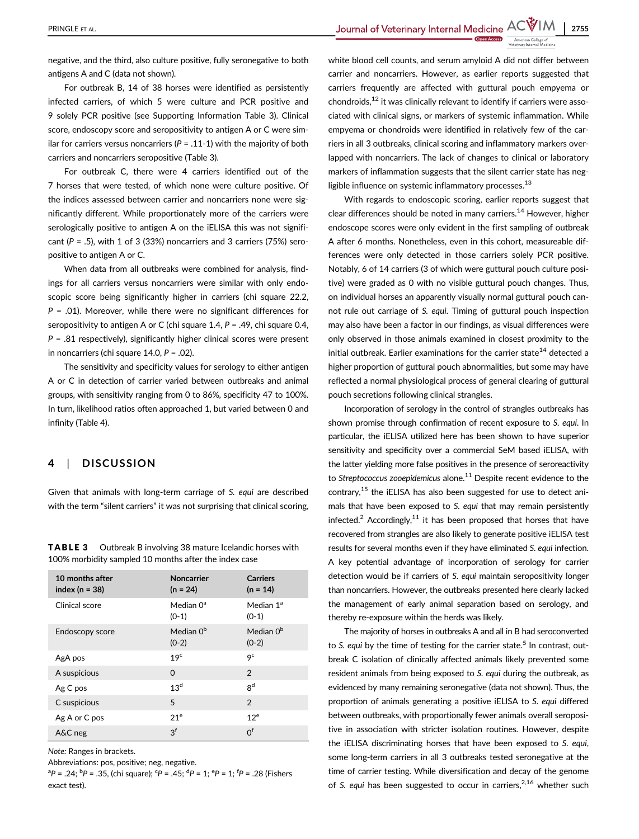PRINGLE ET AL. 2755

negative, and the third, also culture positive, fully seronegative to both antigens A and C (data not shown).

For outbreak B, 14 of 38 horses were identified as persistently infected carriers, of which 5 were culture and PCR positive and 9 solely PCR positive (see Supporting Information Table 3). Clinical score, endoscopy score and seropositivity to antigen A or C were similar for carriers versus noncarriers ( $P = .11$ -1) with the majority of both carriers and noncarriers seropositive (Table 3).

For outbreak C, there were 4 carriers identified out of the 7 horses that were tested, of which none were culture positive. Of the indices assessed between carrier and noncarriers none were significantly different. While proportionately more of the carriers were serologically positive to antigen A on the iELISA this was not significant ( $P = .5$ ), with 1 of 3 (33%) noncarriers and 3 carriers (75%) seropositive to antigen A or C.

When data from all outbreaks were combined for analysis, findings for all carriers versus noncarriers were similar with only endoscopic score being significantly higher in carriers (chi square 22.2,  $P = .01$ ). Moreover, while there were no significant differences for seropositivity to antigen A or C (chi square 1.4,  $P = .49$ , chi square 0.4,  $P = .81$  respectively), significantly higher clinical scores were present in noncarriers (chi square 14.0,  $P = .02$ ).

The sensitivity and specificity values for serology to either antigen A or C in detection of carrier varied between outbreaks and animal groups, with sensitivity ranging from 0 to 86%, specificity 47 to 100%. In turn, likelihood ratios often approached 1, but varied between 0 and infinity (Table 4).

# 4 | DISCUSSION

Given that animals with long-term carriage of S. equi are described with the term "silent carriers" it was not surprising that clinical scoring,

| 10 months after<br>index ( $n = 38$ ) | <b>Noncarrier</b><br>$(n = 24)$  | <b>Carriers</b><br>$(n = 14)$ |
|---------------------------------------|----------------------------------|-------------------------------|
| Clinical score                        | Median $0^a$<br>$(0-1)$          | Median 1ª<br>$(0-1)$          |
| Endoscopy score                       | Median 0 <sup>b</sup><br>$(0-2)$ | Median $0^{\rm b}$<br>$(0-2)$ |
| AgA pos                               | 19 <sup>c</sup>                  | <b>9</b> c                    |
| A suspicious                          | $\Omega$                         | 2                             |
| Ag C pos                              | 13 <sup>d</sup>                  | gd                            |
| C suspicious                          | 5                                | 2                             |
| Ag A or C pos                         | 21 <sup>e</sup>                  | 12 <sup>e</sup>               |
| A&C neg                               | 3 <sup>f</sup>                   | $0^{\text{f}}$                |

TABLE 3 Outbreak B involving 38 mature Icelandic horses with 100% morbidity sampled 10 months after the index case

Note: Ranges in brackets.

Abbreviations: pos, positive; neg, negative.

 ${}^{a}P = .24$ ;  ${}^{b}P = .35$ , (chi square);  ${}^{c}P = .45$ ;  ${}^{d}P = 1$ ;  ${}^{e}P = 1$ ;  ${}^{f}P = .28$  (Fishers exact test).

white blood cell counts, and serum amyloid A did not differ between carrier and noncarriers. However, as earlier reports suggested that carriers frequently are affected with guttural pouch empyema or chondroids, $12$  it was clinically relevant to identify if carriers were associated with clinical signs, or markers of systemic inflammation. While empyema or chondroids were identified in relatively few of the carriers in all 3 outbreaks, clinical scoring and inflammatory markers overlapped with noncarriers. The lack of changes to clinical or laboratory markers of inflammation suggests that the silent carrier state has negligible influence on systemic inflammatory processes. $^{13}$ 

With regards to endoscopic scoring, earlier reports suggest that clear differences should be noted in many carriers.<sup>14</sup> However, higher endoscope scores were only evident in the first sampling of outbreak A after 6 months. Nonetheless, even in this cohort, measureable differences were only detected in those carriers solely PCR positive. Notably, 6 of 14 carriers (3 of which were guttural pouch culture positive) were graded as 0 with no visible guttural pouch changes. Thus, on individual horses an apparently visually normal guttural pouch cannot rule out carriage of S. equi. Timing of guttural pouch inspection may also have been a factor in our findings, as visual differences were only observed in those animals examined in closest proximity to the initial outbreak. Earlier examinations for the carrier state<sup>14</sup> detected a higher proportion of guttural pouch abnormalities, but some may have reflected a normal physiological process of general clearing of guttural pouch secretions following clinical strangles.

Incorporation of serology in the control of strangles outbreaks has shown promise through confirmation of recent exposure to S. equi. In particular, the iELISA utilized here has been shown to have superior sensitivity and specificity over a commercial SeM based iELISA, with the latter yielding more false positives in the presence of seroreactivity to Streptococcus zooepidemicus alone.<sup>11</sup> Despite recent evidence to the contrary, $15$  the iELISA has also been suggested for use to detect animals that have been exposed to S. equi that may remain persistently infected.<sup>2</sup> Accordingly,<sup>11</sup> it has been proposed that horses that have recovered from strangles are also likely to generate positive iELISA test results for several months even if they have eliminated S. equi infection. A key potential advantage of incorporation of serology for carrier detection would be if carriers of S. equi maintain seropositivity longer than noncarriers. However, the outbreaks presented here clearly lacked the management of early animal separation based on serology, and thereby re-exposure within the herds was likely.

The majority of horses in outbreaks A and all in B had seroconverted to S. equi by the time of testing for the carrier state.<sup>5</sup> In contrast, outbreak C isolation of clinically affected animals likely prevented some resident animals from being exposed to S. equi during the outbreak, as evidenced by many remaining seronegative (data not shown). Thus, the proportion of animals generating a positive iELISA to S. equi differed between outbreaks, with proportionally fewer animals overall seropositive in association with stricter isolation routines. However, despite the iELISA discriminating horses that have been exposed to S. equi, some long-term carriers in all 3 outbreaks tested seronegative at the time of carrier testing. While diversification and decay of the genome of S. equi has been suggested to occur in carriers,  $2,16$  whether such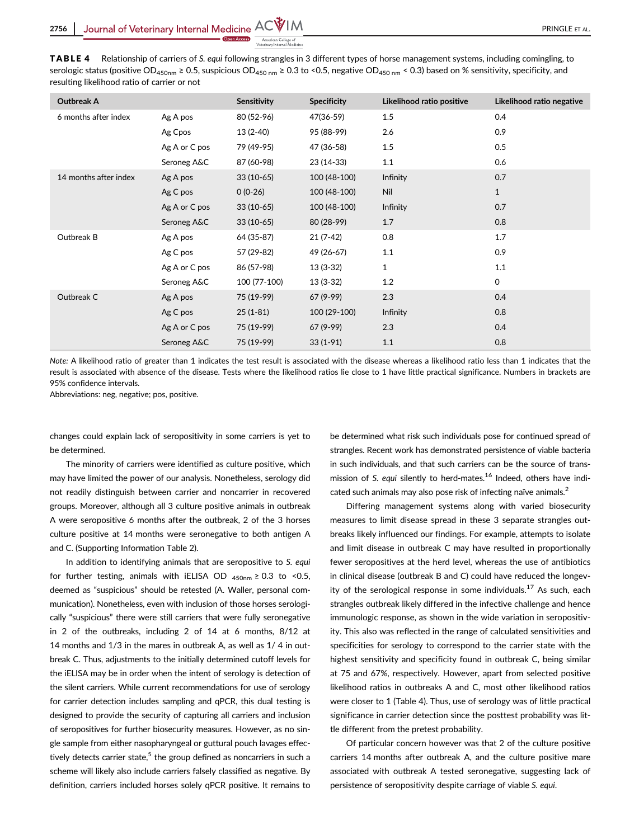TABLE 4 Relationship of carriers of S. equi following strangles in 3 different types of horse management systems, including comingling, to serologic status (positive OD<sub>450nm</sub> ≥ 0.5, suspicious OD<sub>450 nm</sub> ≥ 0.3 to <0.5, negative OD<sub>450 nm</sub> < 0.3) based on % sensitivity, specificity, and resulting likelihood ratio of carrier or not

| <b>Outbreak A</b>     |               | Sensitivity  | <b>Specificity</b> | Likelihood ratio positive | Likelihood ratio negative |
|-----------------------|---------------|--------------|--------------------|---------------------------|---------------------------|
| 6 months after index  | Ag A pos      | 80 (52-96)   | 47(36-59)          | 1.5                       | 0.4                       |
|                       | Ag Cpos       | $13(2-40)$   | 95 (88-99)         | 2.6                       | 0.9                       |
|                       | Ag A or C pos | 79 (49-95)   | 47 (36-58)         | 1.5                       | 0.5                       |
|                       | Seroneg A&C   | 87 (60-98)   | 23 (14-33)         | 1.1                       | 0.6                       |
| 14 months after index | Ag A pos      | $33(10-65)$  | 100 (48-100)       | Infinity                  | 0.7                       |
|                       | Ag C pos      | $0(0-26)$    | 100 (48-100)       | Nil                       | $\mathbf{1}$              |
|                       | Ag A or C pos | $33(10-65)$  | 100 (48-100)       | Infinity                  | 0.7                       |
|                       | Seroneg A&C   | $33(10-65)$  | 80 (28-99)         | 1.7                       | 0.8                       |
| Outbreak B            | Ag A pos      | 64 (35-87)   | $21(7-42)$         | 0.8                       | 1.7                       |
|                       | Ag C pos      | 57 (29-82)   | 49 (26-67)         | 1.1                       | 0.9                       |
|                       | Ag A or C pos | 86 (57-98)   | 13 (3-32)          | 1                         | 1.1                       |
|                       | Seroneg A&C   | 100 (77-100) | $13(3-32)$         | 1.2                       | $\mathsf{O}$              |
| Outbreak C            | Ag A pos      | 75 (19-99)   | 67 (9-99)          | 2.3                       | 0.4                       |
|                       | Ag C pos      | $25(1-81)$   | 100 (29-100)       | Infinity                  | 0.8                       |
|                       | Ag A or C pos | 75 (19-99)   | 67 (9-99)          | 2.3                       | 0.4                       |
|                       | Seroneg A&C   | 75 (19-99)   | $33(1-91)$         | 1.1                       | 0.8                       |

Note: A likelihood ratio of greater than 1 indicates the test result is associated with the disease whereas a likelihood ratio less than 1 indicates that the result is associated with absence of the disease. Tests where the likelihood ratios lie close to 1 have little practical significance. Numbers in brackets are 95% confidence intervals.

Abbreviations: neg, negative; pos, positive.

changes could explain lack of seropositivity in some carriers is yet to be determined.

The minority of carriers were identified as culture positive, which may have limited the power of our analysis. Nonetheless, serology did not readily distinguish between carrier and noncarrier in recovered groups. Moreover, although all 3 culture positive animals in outbreak A were seropositive 6 months after the outbreak, 2 of the 3 horses culture positive at 14 months were seronegative to both antigen A and C. (Supporting Information Table 2).

In addition to identifying animals that are seropositive to S. equi for further testing, animals with iELISA OD  $_{450nm} \geq 0.3$  to <0.5, deemed as "suspicious" should be retested (A. Waller, personal communication). Nonetheless, even with inclusion of those horses serologically "suspicious" there were still carriers that were fully seronegative in 2 of the outbreaks, including 2 of 14 at 6 months, 8/12 at 14 months and 1/3 in the mares in outbreak A, as well as 1/ 4 in outbreak C. Thus, adjustments to the initially determined cutoff levels for the iELISA may be in order when the intent of serology is detection of the silent carriers. While current recommendations for use of serology for carrier detection includes sampling and qPCR, this dual testing is designed to provide the security of capturing all carriers and inclusion of seropositives for further biosecurity measures. However, as no single sample from either nasopharyngeal or guttural pouch lavages effectively detects carrier state,<sup>5</sup> the group defined as noncarriers in such a scheme will likely also include carriers falsely classified as negative. By definition, carriers included horses solely qPCR positive. It remains to

be determined what risk such individuals pose for continued spread of strangles. Recent work has demonstrated persistence of viable bacteria in such individuals, and that such carriers can be the source of transmission of S. equi silently to herd-mates.<sup>16</sup> Indeed, others have indicated such animals may also pose risk of infecting naïve animals.<sup>2</sup>

Differing management systems along with varied biosecurity measures to limit disease spread in these 3 separate strangles outbreaks likely influenced our findings. For example, attempts to isolate and limit disease in outbreak C may have resulted in proportionally fewer seropositives at the herd level, whereas the use of antibiotics in clinical disease (outbreak B and C) could have reduced the longevity of the serological response in some individuals.<sup>17</sup> As such, each strangles outbreak likely differed in the infective challenge and hence immunologic response, as shown in the wide variation in seropositivity. This also was reflected in the range of calculated sensitivities and specificities for serology to correspond to the carrier state with the highest sensitivity and specificity found in outbreak C, being similar at 75 and 67%, respectively. However, apart from selected positive likelihood ratios in outbreaks A and C, most other likelihood ratios were closer to 1 (Table 4). Thus, use of serology was of little practical significance in carrier detection since the posttest probability was little different from the pretest probability.

Of particular concern however was that 2 of the culture positive carriers 14 months after outbreak A, and the culture positive mare associated with outbreak A tested seronegative, suggesting lack of persistence of seropositivity despite carriage of viable S. equi.